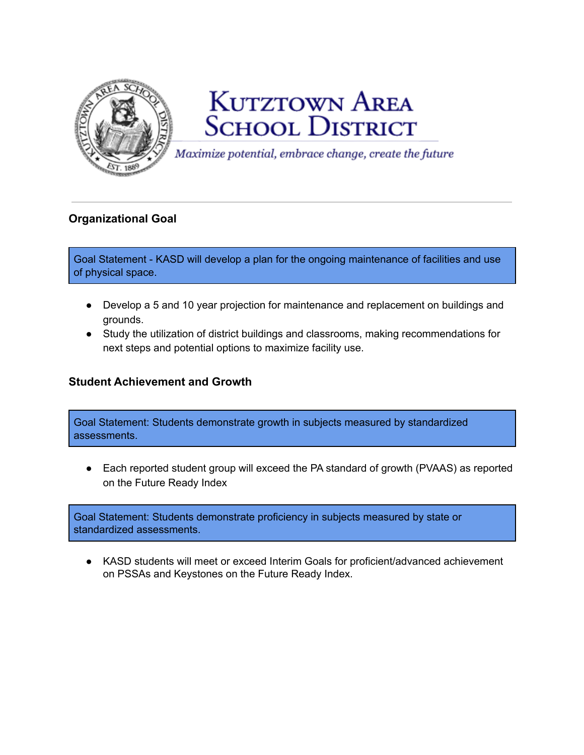

# **KUTZTOWN AREA SCHOOL DISTRICT**

Maximize potential, embrace change, create the future

# **Organizational Goal**

Goal Statement - KASD will develop a plan for the ongoing maintenance of facilities and use of physical space.

- Develop a 5 and 10 year projection for maintenance and replacement on buildings and grounds.
- Study the utilization of district buildings and classrooms, making recommendations for next steps and potential options to maximize facility use.

## **Student Achievement and Growth**

Goal Statement: Students demonstrate growth in subjects measured by standardized assessments.

● Each reported student group will exceed the PA standard of growth (PVAAS) as reported on the Future Ready Index

Goal Statement: Students demonstrate proficiency in subjects measured by state or standardized assessments.

● KASD students will meet or exceed Interim Goals for proficient/advanced achievement on PSSAs and Keystones on the Future Ready Index.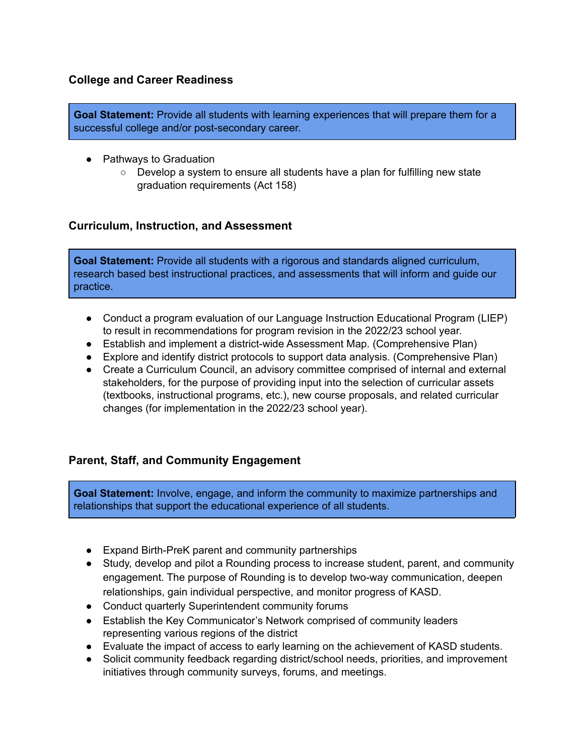#### **College and Career Readiness**

**Goal Statement:** Provide all students with learning experiences that will prepare them for a successful college and/or post-secondary career.

- Pathways to Graduation
	- Develop a system to ensure all students have a plan for fulfilling new state graduation requirements (Act 158)

#### **Curriculum, Instruction, and Assessment**

**Goal Statement:** Provide all students with a rigorous and standards aligned curriculum, research based best instructional practices, and assessments that will inform and guide our practice.

- Conduct a program evaluation of our Language Instruction Educational Program (LIEP) to result in recommendations for program revision in the 2022/23 school year.
- Establish and implement a district-wide Assessment Map. (Comprehensive Plan)
- Explore and identify district protocols to support data analysis. (Comprehensive Plan)
- Create a Curriculum Council, an advisory committee comprised of internal and external stakeholders, for the purpose of providing input into the selection of curricular assets (textbooks, instructional programs, etc.), new course proposals, and related curricular changes (for implementation in the 2022/23 school year).

## **Parent, Staff, and Community Engagement**

**Goal Statement:** Involve, engage, and inform the community to maximize partnerships and relationships that support the educational experience of all students.

- Expand Birth-PreK parent and community partnerships
- Study, develop and pilot a Rounding process to increase student, parent, and community engagement. The purpose of Rounding is to develop two-way communication, deepen relationships, gain individual perspective, and monitor progress of KASD.
- Conduct quarterly Superintendent community forums
- Establish the Key Communicator's Network comprised of community leaders representing various regions of the district
- Evaluate the impact of access to early learning on the achievement of KASD students.
- Solicit community feedback regarding district/school needs, priorities, and improvement initiatives through community surveys, forums, and meetings.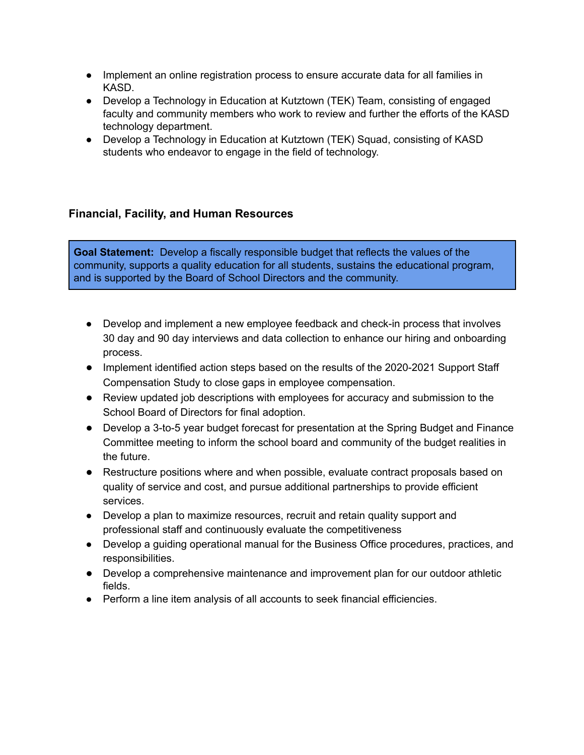- Implement an online registration process to ensure accurate data for all families in KASD.
- Develop a Technology in Education at Kutztown (TEK) Team, consisting of engaged faculty and community members who work to review and further the efforts of the KASD technology department.
- Develop a Technology in Education at Kutztown (TEK) Squad, consisting of KASD students who endeavor to engage in the field of technology.

## **Financial, Facility, and Human Resources**

**Goal Statement:** Develop a fiscally responsible budget that reflects the values of the community, supports a quality education for all students, sustains the educational program, and is supported by the Board of School Directors and the community.

- Develop and implement a new employee feedback and check-in process that involves 30 day and 90 day interviews and data collection to enhance our hiring and onboarding process.
- Implement identified action steps based on the results of the 2020-2021 Support Staff Compensation Study to close gaps in employee compensation.
- Review updated job descriptions with employees for accuracy and submission to the School Board of Directors for final adoption.
- Develop a 3-to-5 year budget forecast for presentation at the Spring Budget and Finance Committee meeting to inform the school board and community of the budget realities in the future.
- Restructure positions where and when possible, evaluate contract proposals based on quality of service and cost, and pursue additional partnerships to provide efficient services.
- Develop a plan to maximize resources, recruit and retain quality support and professional staff and continuously evaluate the competitiveness
- Develop a guiding operational manual for the Business Office procedures, practices, and responsibilities.
- Develop a comprehensive maintenance and improvement plan for our outdoor athletic fields.
- Perform a line item analysis of all accounts to seek financial efficiencies.